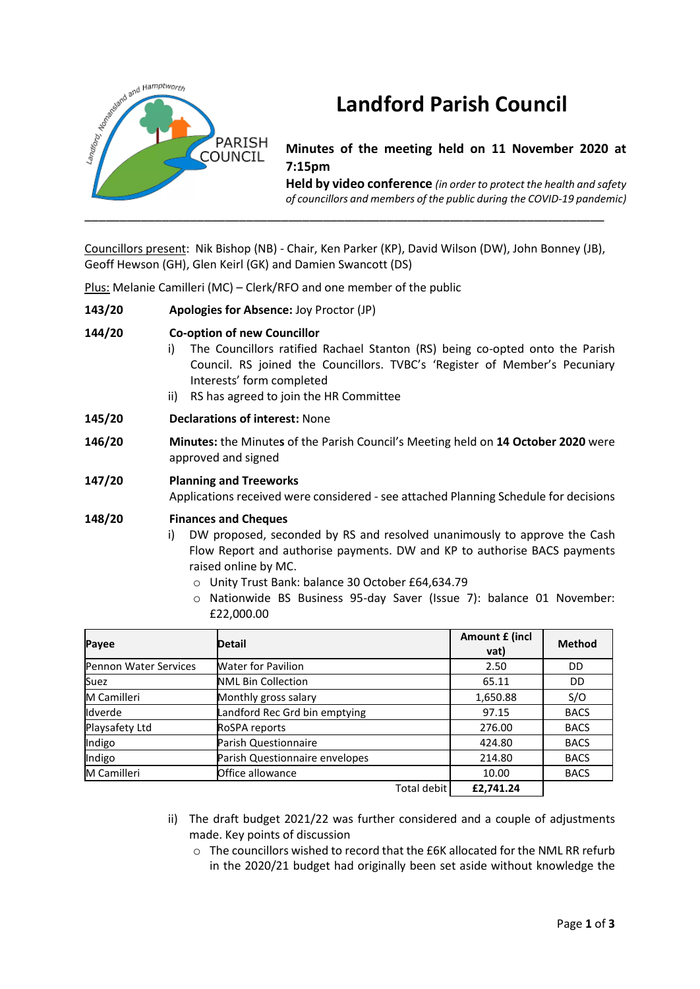

# **Landford Parish Council**

**Minutes of the meeting held on 11 November 2020 at 7:15pm**

**Held by video conference** *(in order to protect the health and safety of councillors and members of the public during the COVID-19 pandemic)* 

Councillors present: Nik Bishop (NB) - Chair, Ken Parker (KP), David Wilson (DW), John Bonney (JB), Geoff Hewson (GH), Glen Keirl (GK) and Damien Swancott (DS)

Plus: Melanie Camilleri (MC) – Clerk/RFO and one member of the public

**143/20 Apologies for Absence:** Joy Proctor (JP)

# **144/20 Co-option of new Councillor**

- i) The Councillors ratified Rachael Stanton (RS) being co-opted onto the Parish Council. RS joined the Councillors. TVBC's 'Register of Member's Pecuniary Interests' form completed
- ii) RS has agreed to join the HR Committee
- **145/20 Declarations of interest:** None
- **146/20 Minutes:** the Minute**s** of the Parish Council's Meeting held on **14 October 2020** were approved and signed

# **147/20 Planning and Treeworks**

Applications received were considered - see attached Planning Schedule for decisions

# **148/20 Finances and Cheques**

- i) DW proposed, seconded by RS and resolved unanimously to approve the Cash Flow Report and authorise payments. DW and KP to authorise BACS payments raised online by MC.
	- o Unity Trust Bank: balance 30 October £64,634.79
	- o Nationwide BS Business 95-day Saver (Issue 7): balance 01 November: £22,000.00

| Payee                 | <b>Detail</b>                  | Amount £ (incl<br>vat) | <b>Method</b> |
|-----------------------|--------------------------------|------------------------|---------------|
| Pennon Water Services | <b>Water for Pavilion</b>      | 2.50                   | DD            |
| Suez                  | <b>NML Bin Collection</b>      | 65.11                  | DD            |
| M Camilleri           | Monthly gross salary           | 1,650.88               | S/O           |
| Idverde               | Landford Rec Grd bin emptying  | 97.15                  | <b>BACS</b>   |
| Playsafety Ltd        | RoSPA reports                  | 276.00                 | <b>BACS</b>   |
| Indigo                | Parish Questionnaire           | 424.80                 | <b>BACS</b>   |
| Indigo                | Parish Questionnaire envelopes | 214.80                 | <b>BACS</b>   |
| M Camilleri           | Office allowance               | 10.00                  | <b>BACS</b>   |
|                       | <b>Total debit</b>             | £2.741.24              |               |

- ii) The draft budget 2021/22 was further considered and a couple of adjustments made. Key points of discussion
	- $\circ$  The councillors wished to record that the £6K allocated for the NML RR refurb in the 2020/21 budget had originally been set aside without knowledge the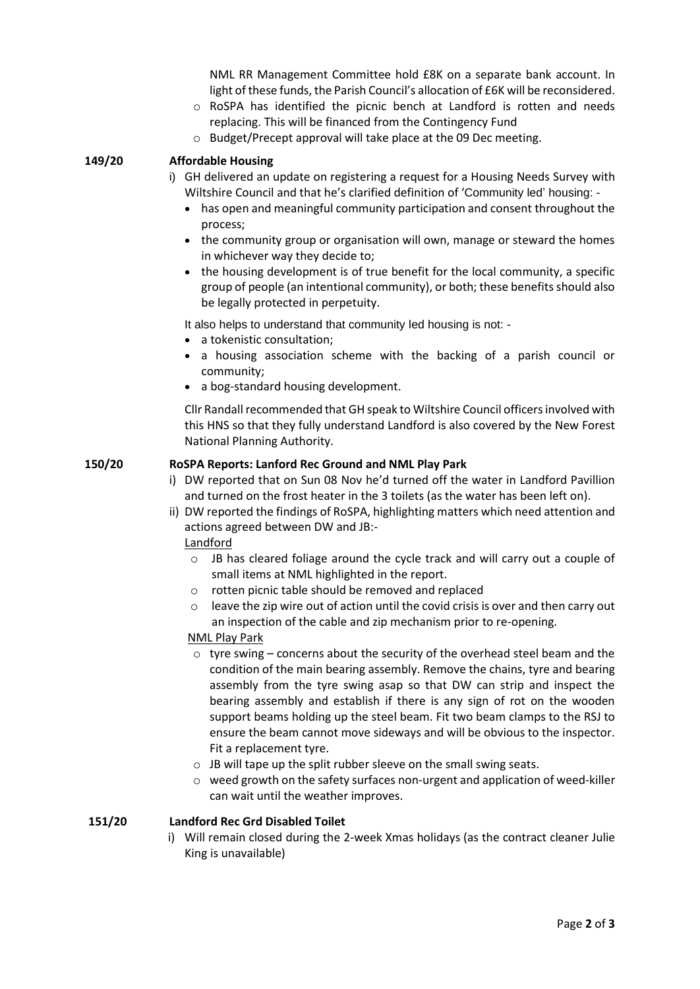NML RR Management Committee hold £8K on a separate bank account. In light of these funds, the Parish Council's allocation of £6K will be reconsidered.

- o RoSPA has identified the picnic bench at Landford is rotten and needs replacing. This will be financed from the Contingency Fund
- o Budget/Precept approval will take place at the 09 Dec meeting.

### **149/20 Affordable Housing**

- i) GH delivered an update on registering a request for a Housing Needs Survey with Wiltshire Council and that he's clarified definition of 'Community led' housing: -
	- has open and meaningful community participation and consent throughout the process;
	- the community group or organisation will own, manage or steward the homes in whichever way they decide to;
	- the housing development is of true benefit for the local community, a specific group of people (an intentional community), or both; these benefits should also be legally protected in perpetuity.

It also helps to understand that community led housing is not: -

- a tokenistic consultation:
- a housing association scheme with the backing of a parish council or community;
- a bog-standard housing development.

Cllr Randall recommended that GH speak to Wiltshire Council officers involved with this HNS so that they fully understand Landford is also covered by the New Forest National Planning Authority.

#### **150/20 RoSPA Reports: Lanford Rec Ground and NML Play Park**

- i) DW reported that on Sun 08 Nov he'd turned off the water in Landford Pavillion and turned on the frost heater in the 3 toilets (as the water has been left on).
- ii) DW reported the findings of RoSPA, highlighting matters which need attention and actions agreed between DW and JB:-

#### Landford

- $\circ$  JB has cleared foliage around the cycle track and will carry out a couple of small items at NML highlighted in the report.
- o rotten picnic table should be removed and replaced
- leave the zip wire out of action until the covid crisis is over and then carry out an inspection of the cable and zip mechanism prior to re-opening.

# NML Play Park

- $\circ$  tyre swing concerns about the security of the overhead steel beam and the condition of the main bearing assembly. Remove the chains, tyre and bearing assembly from the tyre swing asap so that DW can strip and inspect the bearing assembly and establish if there is any sign of rot on the wooden support beams holding up the steel beam. Fit two beam clamps to the RSJ to ensure the beam cannot move sideways and will be obvious to the inspector. Fit a replacement tyre.
- $\circ$  JB will tape up the split rubber sleeve on the small swing seats.
- $\circ$  weed growth on the safety surfaces non-urgent and application of weed-killer can wait until the weather improves.

#### **151/20 Landford Rec Grd Disabled Toilet**

i) Will remain closed during the 2-week Xmas holidays (as the contract cleaner Julie King is unavailable)